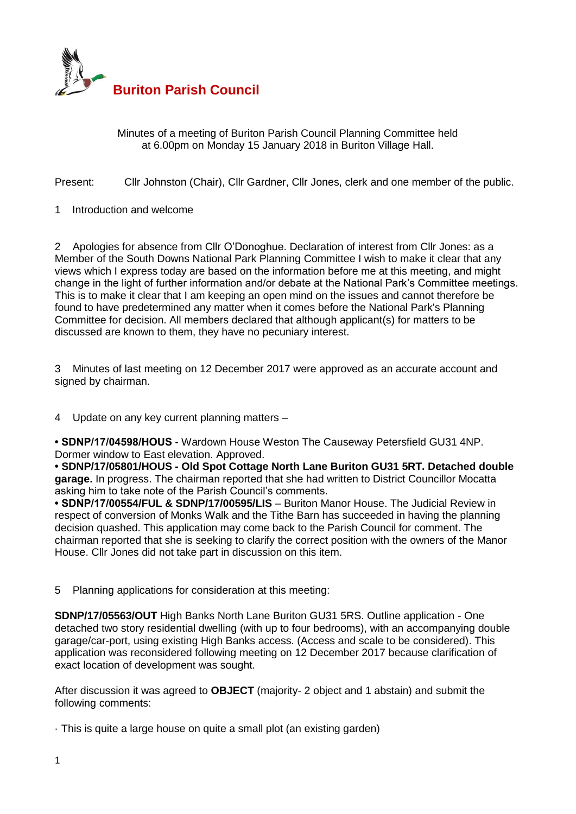

Minutes of a meeting of Buriton Parish Council Planning Committee held at 6.00pm on Monday 15 January 2018 in Buriton Village Hall.

Present: Cllr Johnston (Chair), Cllr Gardner, Cllr Jones, clerk and one member of the public.

1 Introduction and welcome

2 Apologies for absence from Cllr O'Donoghue. Declaration of interest from Cllr Jones: as a Member of the South Downs National Park Planning Committee I wish to make it clear that any views which I express today are based on the information before me at this meeting, and might change in the light of further information and/or debate at the National Park's Committee meetings. This is to make it clear that I am keeping an open mind on the issues and cannot therefore be found to have predetermined any matter when it comes before the National Park's Planning Committee for decision. All members declared that although applicant(s) for matters to be discussed are known to them, they have no pecuniary interest.

3 Minutes of last meeting on 12 December 2017 were approved as an accurate account and signed by chairman.

4 Update on any key current planning matters –

**• SDNP/17/04598/HOUS** - Wardown House Weston The Causeway Petersfield GU31 4NP. Dormer window to East elevation. Approved.

**• SDNP/17/05801/HOUS - Old Spot Cottage North Lane Buriton GU31 5RT. Detached double garage.** In progress. The chairman reported that she had written to District Councillor Mocatta asking him to take note of the Parish Council's comments.

**• SDNP/17/00554/FUL & SDNP/17/00595/LIS** – Buriton Manor House. The Judicial Review in respect of conversion of Monks Walk and the Tithe Barn has succeeded in having the planning decision quashed. This application may come back to the Parish Council for comment. The chairman reported that she is seeking to clarify the correct position with the owners of the Manor House. Cllr Jones did not take part in discussion on this item.

5 Planning applications for consideration at this meeting:

**SDNP/17/05563/OUT** High Banks North Lane Buriton GU31 5RS. Outline application - One detached two story residential dwelling (with up to four bedrooms), with an accompanying double garage/car-port, using existing High Banks access. (Access and scale to be considered). This application was reconsidered following meeting on 12 December 2017 because clarification of exact location of development was sought.

After discussion it was agreed to **OBJECT** (majority- 2 object and 1 abstain) and submit the following comments:

· This is quite a large house on quite a small plot (an existing garden)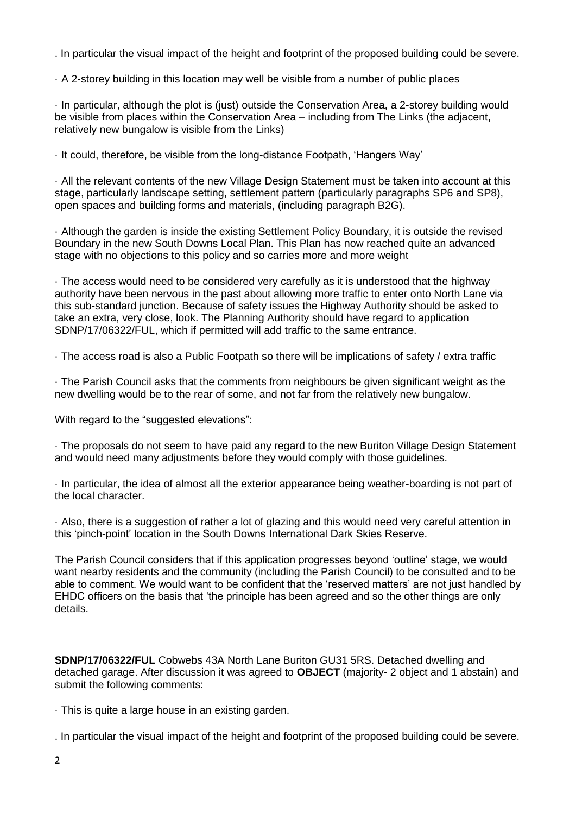. In particular the visual impact of the height and footprint of the proposed building could be severe.

· A 2-storey building in this location may well be visible from a number of public places

· In particular, although the plot is (just) outside the Conservation Area, a 2-storey building would be visible from places within the Conservation Area – including from The Links (the adjacent, relatively new bungalow is visible from the Links)

· It could, therefore, be visible from the long-distance Footpath, 'Hangers Way'

· All the relevant contents of the new Village Design Statement must be taken into account at this stage, particularly landscape setting, settlement pattern (particularly paragraphs SP6 and SP8), open spaces and building forms and materials, (including paragraph B2G).

· Although the garden is inside the existing Settlement Policy Boundary, it is outside the revised Boundary in the new South Downs Local Plan. This Plan has now reached quite an advanced stage with no objections to this policy and so carries more and more weight

· The access would need to be considered very carefully as it is understood that the highway authority have been nervous in the past about allowing more traffic to enter onto North Lane via this sub-standard junction. Because of safety issues the Highway Authority should be asked to take an extra, very close, look. The Planning Authority should have regard to application SDNP/17/06322/FUL, which if permitted will add traffic to the same entrance.

· The access road is also a Public Footpath so there will be implications of safety / extra traffic

· The Parish Council asks that the comments from neighbours be given significant weight as the new dwelling would be to the rear of some, and not far from the relatively new bungalow.

With regard to the "suggested elevations":

· The proposals do not seem to have paid any regard to the new Buriton Village Design Statement and would need many adjustments before they would comply with those guidelines.

· In particular, the idea of almost all the exterior appearance being weather-boarding is not part of the local character.

· Also, there is a suggestion of rather a lot of glazing and this would need very careful attention in this 'pinch-point' location in the South Downs International Dark Skies Reserve.

The Parish Council considers that if this application progresses beyond 'outline' stage, we would want nearby residents and the community (including the Parish Council) to be consulted and to be able to comment. We would want to be confident that the 'reserved matters' are not just handled by EHDC officers on the basis that 'the principle has been agreed and so the other things are only details.

**SDNP/17/06322/FUL** Cobwebs 43A North Lane Buriton GU31 5RS. Detached dwelling and detached garage. After discussion it was agreed to **OBJECT** (majority- 2 object and 1 abstain) and submit the following comments:

· This is quite a large house in an existing garden.

. In particular the visual impact of the height and footprint of the proposed building could be severe.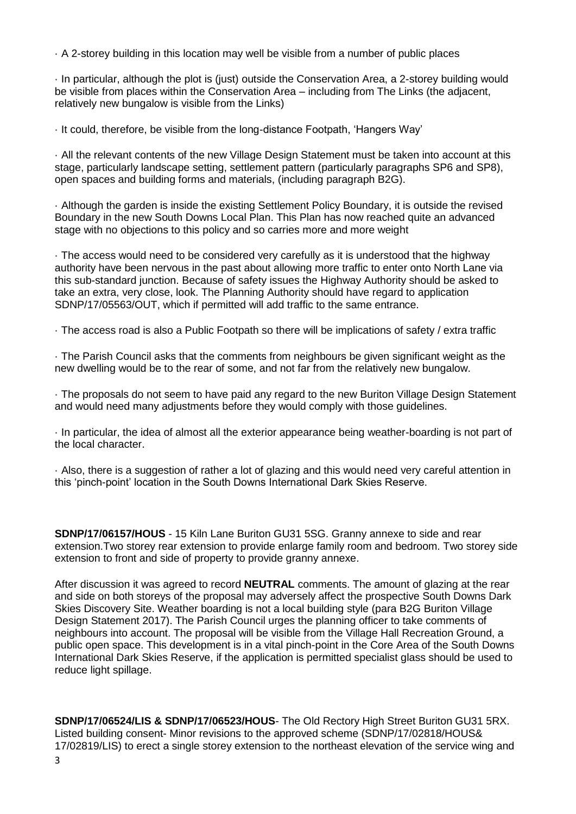· A 2-storey building in this location may well be visible from a number of public places

· In particular, although the plot is (just) outside the Conservation Area, a 2-storey building would be visible from places within the Conservation Area – including from The Links (the adjacent, relatively new bungalow is visible from the Links)

· It could, therefore, be visible from the long-distance Footpath, 'Hangers Way'

· All the relevant contents of the new Village Design Statement must be taken into account at this stage, particularly landscape setting, settlement pattern (particularly paragraphs SP6 and SP8), open spaces and building forms and materials, (including paragraph B2G).

· Although the garden is inside the existing Settlement Policy Boundary, it is outside the revised Boundary in the new South Downs Local Plan. This Plan has now reached quite an advanced stage with no objections to this policy and so carries more and more weight

· The access would need to be considered very carefully as it is understood that the highway authority have been nervous in the past about allowing more traffic to enter onto North Lane via this sub-standard junction. Because of safety issues the Highway Authority should be asked to take an extra, very close, look. The Planning Authority should have regard to application SDNP/17/05563/OUT, which if permitted will add traffic to the same entrance.

· The access road is also a Public Footpath so there will be implications of safety / extra traffic

· The Parish Council asks that the comments from neighbours be given significant weight as the new dwelling would be to the rear of some, and not far from the relatively new bungalow.

· The proposals do not seem to have paid any regard to the new Buriton Village Design Statement and would need many adjustments before they would comply with those guidelines.

· In particular, the idea of almost all the exterior appearance being weather-boarding is not part of the local character.

· Also, there is a suggestion of rather a lot of glazing and this would need very careful attention in this 'pinch-point' location in the South Downs International Dark Skies Reserve.

**SDNP/17/06157/HOUS** - 15 Kiln Lane Buriton GU31 5SG. Granny annexe to side and rear extension.Two storey rear extension to provide enlarge family room and bedroom. Two storey side extension to front and side of property to provide granny annexe.

After discussion it was agreed to record **NEUTRAL** comments. The amount of glazing at the rear and side on both storeys of the proposal may adversely affect the prospective South Downs Dark Skies Discovery Site. Weather boarding is not a local building style (para B2G Buriton Village Design Statement 2017). The Parish Council urges the planning officer to take comments of neighbours into account. The proposal will be visible from the Village Hall Recreation Ground, a public open space. This development is in a vital pinch-point in the Core Area of the South Downs International Dark Skies Reserve, if the application is permitted specialist glass should be used to reduce light spillage.

**SDNP/17/06524/LIS & SDNP/17/06523/HOUS**- The Old Rectory High Street Buriton GU31 5RX. Listed building consent- Minor revisions to the approved scheme (SDNP/17/02818/HOUS& 17/02819/LIS) to erect a single storey extension to the northeast elevation of the service wing and